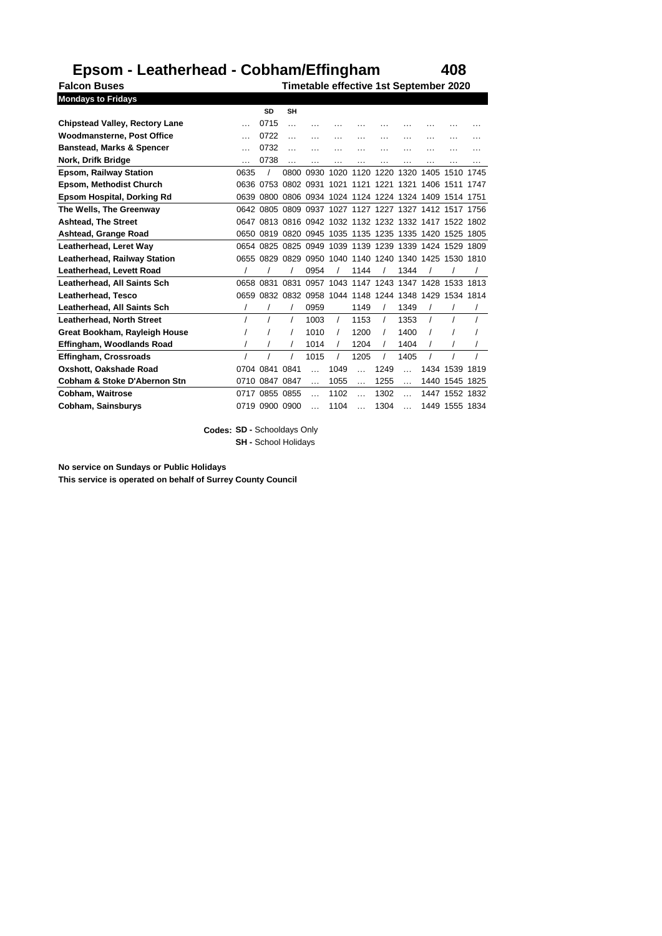## **Epsom - Leatherhead - Cobham/Effingham 408**

**Falcon Buses Timetable effective 1st September 2020 Mondays to Fridays**

|                                       |          | SD             | <b>SH</b> |           |          |           |           |           |                                                   |           |          |
|---------------------------------------|----------|----------------|-----------|-----------|----------|-----------|-----------|-----------|---------------------------------------------------|-----------|----------|
| <b>Chipstead Valley, Rectory Lane</b> | $\cdots$ | 0715           | $\ddotsc$ |           |          |           |           |           |                                                   |           |          |
| <b>Woodmansterne, Post Office</b>     |          | 0722           |           |           | .        | .         | .         | .         | .                                                 | $\cdots$  |          |
| <b>Banstead, Marks &amp; Spencer</b>  |          | 0732           | $\ddotsc$ |           |          |           |           |           |                                                   |           |          |
| Nork. Drifk Bridge                    |          | 0738           |           | $\cdots$  | $\cdots$ | $\cdots$  | $\cdots$  | $\cdots$  | $\cdots$                                          | $\cdots$  | $\cdots$ |
| <b>Epsom, Railway Station</b>         | 0635     |                | 0800      | 0930      | 1020     | 1120      | 1220      | 1320      | 1405                                              | 1510      | 1745     |
| <b>Epsom, Methodist Church</b>        |          | 0636 0753      | 0802      | 0931      | 1021     |           | 1121 1221 | 1321      | 1406                                              | 1511      | 1747     |
| Epsom Hospital, Dorking Rd            | 0639     |                |           |           |          |           |           |           | 0800 0806 0934 1024 1124 1224 1324 1409           | 1514      | 1751     |
| The Wells, The Greenway               | 0642     | 0805           | 0809      |           |          |           |           |           | 0937 1027 1127 1227 1327 1412 1517                |           | 1756     |
| <b>Ashtead, The Street</b>            | 0647     |                |           |           |          |           |           |           | 0813 0816 0942 1032 1132 1232 1332 1417           | 1522      | 1802     |
| Ashtead, Grange Road                  | 0650     | 0819           |           |           |          |           |           |           | 0820 0945 1035 1135 1235 1335 1420 1525           |           | 1805     |
| Leatherhead, Leret Way                | 0654     |                |           |           |          |           |           |           | 0825 0825 0949 1039 1139 1239 1339 1424 1529      |           | 1809     |
| <b>Leatherhead, Railway Station</b>   | 0655     |                |           |           |          |           |           |           | 0829 0829 0950 1040 1140 1240 1340 1425 1530 1810 |           |          |
| Leatherhead, Levett Road              |          |                |           | 0954      |          | 1144      |           | 1344      |                                                   |           |          |
| Leatherhead. All Saints Sch           | 0658     | 0831           | 0831      |           |          |           |           |           | 0957 1043 1147 1243 1347 1428 1533 1813           |           |          |
| Leatherhead, Tesco                    | 0659     |                |           |           |          |           |           |           | 0832 0832 0958 1044 1148 1244 1348 1429           | 1534 1814 |          |
| Leatherhead, All Saints Sch           |          |                |           | 0959      |          | 1149      |           | 1349      |                                                   |           |          |
| <b>Leatherhead, North Street</b>      |          |                |           | 1003      | $\prime$ | 1153      |           | 1353      | $\prime$                                          |           |          |
| Great Bookham, Rayleigh House         |          |                |           | 1010      |          | 1200      |           | 1400      |                                                   |           |          |
| Effingham, Woodlands Road             |          |                |           | 1014      |          | 1204      |           | 1404      |                                                   |           |          |
| Effingham, Crossroads                 |          |                |           | 1015      |          | 1205      |           | 1405      |                                                   |           |          |
| Oxshott, Oakshade Road                |          | 0704 0841      | 0841      |           | 1049     | $\sim$    | 1249      |           | 1434                                              | 1539      | 1819     |
| Cobham & Stoke D'Abernon Stn          |          | 0710 0847 0847 |           | $\ddotsc$ | 1055     | $\ddotsc$ | 1255      | $\ddotsc$ |                                                   | 1440 1545 | 1825     |
| Cobham, Waitrose                      | 0717     | 0855 0855      |           | $\ddotsc$ | 1102     | $\sim$    | 1302      | $\sim$    | 1447                                              | 1552 1832 |          |
| Cobham, Sainsburys                    | 0719     | 0900 0900      |           |           | 1104     | $\sim$    | 1304      | $\sim$    | 1449                                              | 1555 1834 |          |

**Codes: SD -** Schooldays Only **SH -** School Holidays

**No service on Sundays or Public Holidays This service is operated on behalf of Surrey County Council**